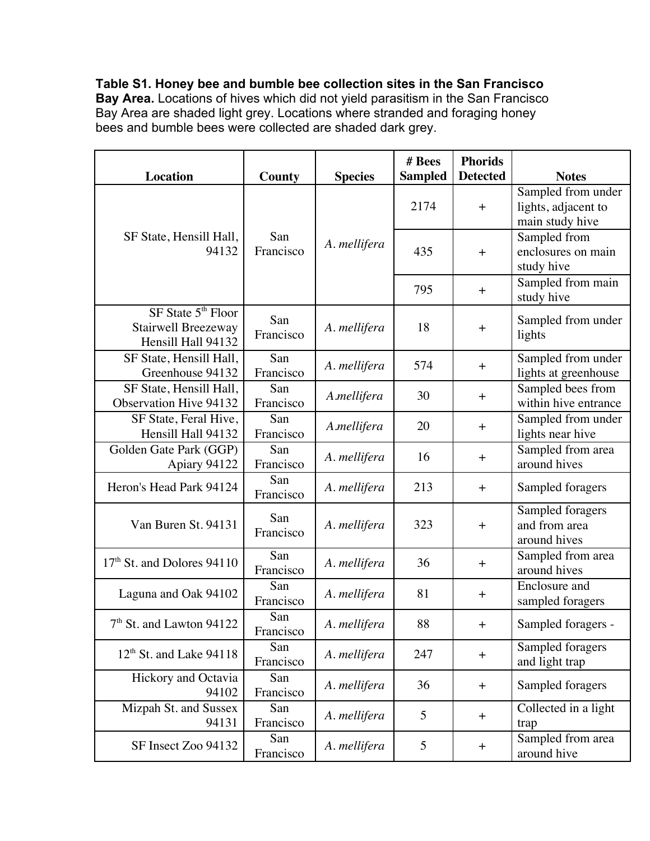**Table S1. Honey bee and bumble bee collection sites in the San Francisco Bay Area.** Locations of hives which did not yield parasitism in the San Francisco Bay Area are shaded light grey. Locations where stranded and foraging honey bees and bumble bees were collected are shaded dark grey.

| <b>Location</b>                                                             | County           | <b>Species</b> | # Bees<br><b>Sampled</b> | <b>Phorids</b><br><b>Detected</b> | <b>Notes</b>                                                 |
|-----------------------------------------------------------------------------|------------------|----------------|--------------------------|-----------------------------------|--------------------------------------------------------------|
| SF State, Hensill Hall,<br>94132                                            | San<br>Francisco | A. mellifera   | 2174                     | $\boldsymbol{+}$                  | Sampled from under<br>lights, adjacent to<br>main study hive |
|                                                                             |                  |                | 435                      | $\boldsymbol{+}$                  | Sampled from<br>enclosures on main<br>study hive             |
|                                                                             |                  |                | 795                      | $+$                               | Sampled from main<br>study hive                              |
| SF State 5 <sup>th</sup> Floor<br>Stairwell Breezeway<br>Hensill Hall 94132 | San<br>Francisco | A. mellifera   | 18                       | $\ddot{}$                         | Sampled from under<br>lights                                 |
| SF State, Hensill Hall,<br>Greenhouse 94132                                 | San<br>Francisco | A. mellifera   | 574                      | $+$                               | Sampled from under<br>lights at greenhouse                   |
| SF State, Hensill Hall,<br><b>Observation Hive 94132</b>                    | San<br>Francisco | A.mellifera    | 30                       | $+$                               | Sampled bees from<br>within hive entrance                    |
| SF State, Feral Hive,<br>Hensill Hall 94132                                 | San<br>Francisco | A.mellifera    | 20                       | $\ddot{}$                         | Sampled from under<br>lights near hive                       |
| Golden Gate Park (GGP)<br>Apiary 94122                                      | San<br>Francisco | A. mellifera   | 16                       | $+$                               | Sampled from area<br>around hives                            |
| Heron's Head Park 94124                                                     | San<br>Francisco | A. mellifera   | 213                      | $+$                               | Sampled foragers                                             |
| Van Buren St. 94131                                                         | San<br>Francisco | A. mellifera   | 323                      | $+$                               | Sampled foragers<br>and from area<br>around hives            |
| 17 <sup>th</sup> St. and Dolores 94110                                      | San<br>Francisco | A. mellifera   | 36                       | $+$                               | Sampled from area<br>around hives                            |
| Laguna and Oak 94102                                                        | San<br>Francisco | A. mellifera   | 81                       | $+$                               | Enclosure and<br>sampled foragers                            |
| $7th$ St. and Lawton 94122                                                  | San<br>Francisco | A. mellifera   | 88                       | $\pm$                             | Sampled foragers -                                           |
| $12th$ St. and Lake 94118                                                   | San<br>Francisco | A. mellifera   | 247                      | $+$                               | Sampled foragers<br>and light trap                           |
| Hickory and Octavia<br>94102                                                | San<br>Francisco | A. mellifera   | 36                       | $+$                               | Sampled foragers                                             |
| Mizpah St. and Sussex<br>94131                                              | San<br>Francisco | A. mellifera   | 5                        | $\pm$                             | Collected in a light<br>trap                                 |
| SF Insect Zoo 94132                                                         | San<br>Francisco | A. mellifera   | 5                        | $\ddagger$                        | Sampled from area<br>around hive                             |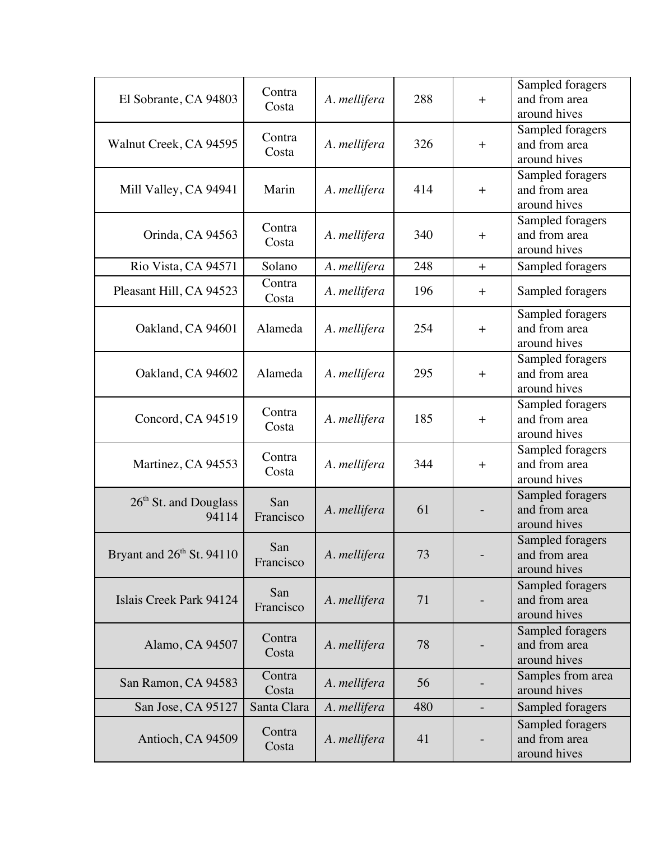| El Sobrante, CA 94803                      | Contra<br>Costa  | A. mellifera | 288 | $+$       | Sampled foragers<br>and from area<br>around hives |
|--------------------------------------------|------------------|--------------|-----|-----------|---------------------------------------------------|
| Walnut Creek, CA 94595                     | Contra<br>Costa  | A. mellifera | 326 | $+$       | Sampled foragers<br>and from area<br>around hives |
| Mill Valley, CA 94941                      | Marin            | A. mellifera | 414 | $+$       | Sampled foragers<br>and from area<br>around hives |
| Orinda, CA 94563                           | Contra<br>Costa  | A. mellifera | 340 | $+$       | Sampled foragers<br>and from area<br>around hives |
| Rio Vista, CA 94571                        | Solano           | A. mellifera | 248 | $+$       | Sampled foragers                                  |
| Pleasant Hill, CA 94523                    | Contra<br>Costa  | A. mellifera | 196 | $\pm$     | Sampled foragers                                  |
| Oakland, CA 94601                          | Alameda          | A. mellifera | 254 | $+$       | Sampled foragers<br>and from area<br>around hives |
| Oakland, CA 94602                          | Alameda          | A. mellifera | 295 | $\ddot{}$ | Sampled foragers<br>and from area<br>around hives |
| Concord, CA 94519                          | Contra<br>Costa  | A. mellifera | 185 | $+$       | Sampled foragers<br>and from area<br>around hives |
| Martinez, CA 94553                         | Contra<br>Costa  | A. mellifera | 344 | $+$       | Sampled foragers<br>and from area<br>around hives |
| 26 <sup>th</sup> St. and Douglass<br>94114 | San<br>Francisco | A. mellifera | 61  |           | Sampled foragers<br>and from area<br>around hives |
| Bryant and 26 <sup>th</sup> St. 94110      | San<br>Francisco | A. mellifera | 73  |           | Sampled foragers<br>and from area<br>around hives |
| Islais Creek Park 94124                    | San<br>Francisco | A. mellifera | 71  |           | Sampled foragers<br>and from area<br>around hives |
| Alamo, CA 94507                            | Contra<br>Costa  | A. mellifera | 78  |           | Sampled foragers<br>and from area<br>around hives |
| San Ramon, CA 94583                        | Contra<br>Costa  | A. mellifera | 56  |           | Samples from area<br>around hives                 |
| San Jose, CA 95127                         | Santa Clara      | A. mellifera | 480 |           | Sampled foragers                                  |
| Antioch, CA 94509                          | Contra<br>Costa  | A. mellifera | 41  |           | Sampled foragers<br>and from area<br>around hives |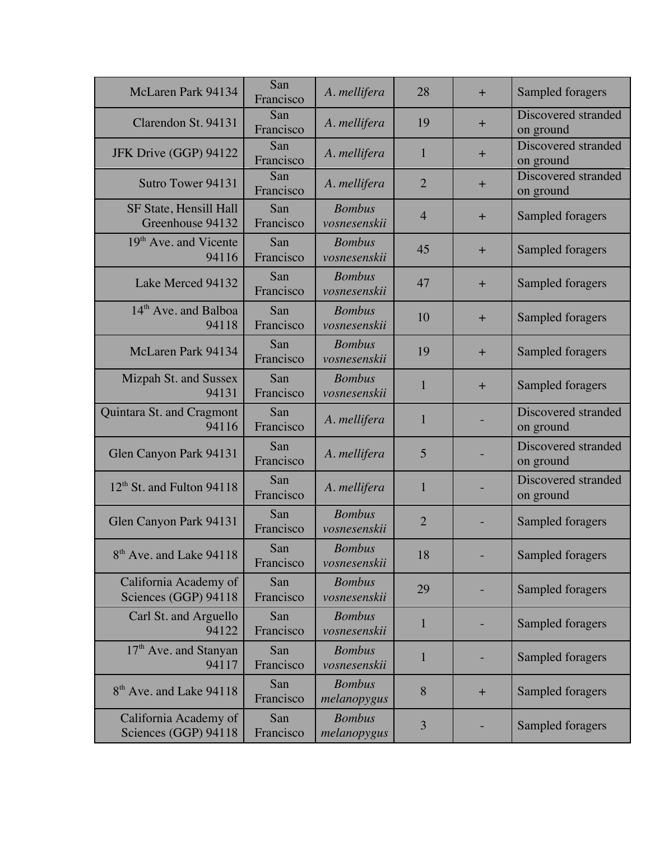| McLaren Park 94134                            | San<br>Francisco | A. mellifera                  | 28             | $+$   | Sampled foragers                 |
|-----------------------------------------------|------------------|-------------------------------|----------------|-------|----------------------------------|
| Clarendon St. 94131                           | San<br>Francisco | A. mellifera                  | 19             | $\pm$ | Discovered stranded<br>on ground |
| JFK Drive (GGP) 94122                         | San<br>Francisco | A. mellifera                  | $\mathbf{1}$   | $+$   | Discovered stranded<br>on ground |
| Sutro Tower 94131                             | San<br>Francisco | A. mellifera                  | $\overline{2}$ | $\pm$ | Discovered stranded<br>on ground |
| SF State, Hensill Hall<br>Greenhouse 94132    | San<br>Francisco | <b>Bombus</b><br>vosnesenskii | $\overline{4}$ | $+$   | Sampled foragers                 |
| 19 <sup>th</sup> Ave. and Vicente<br>94116    | San<br>Francisco | <b>Bombus</b><br>vosnesenskii | 45             | $\pm$ | Sampled foragers                 |
| Lake Merced 94132                             | San<br>Francisco | <b>Bombus</b><br>vosnesenskii | 47             | $+$   | Sampled foragers                 |
| 14 <sup>th</sup> Ave. and Balboa<br>94118     | San<br>Francisco | <b>Bombus</b><br>vosnesenskii | 10             | $+$   | Sampled foragers                 |
| McLaren Park 94134                            | San<br>Francisco | <b>Bombus</b><br>vosnesenskii | 19             | $\pm$ | Sampled foragers                 |
| Mizpah St. and Sussex<br>94131                | San<br>Francisco | <b>Bombus</b><br>vosnesenskii | 1              | $+$   | Sampled foragers                 |
| Quintara St. and Cragmont<br>94116            | San<br>Francisco | A. mellifera                  | $\mathbf{1}$   |       | Discovered stranded<br>on ground |
| Glen Canyon Park 94131                        | San<br>Francisco | A. mellifera                  | 5              |       | Discovered stranded<br>on ground |
| $12th$ St. and Fulton 94118                   | San<br>Francisco | A. mellifera                  | $\mathbf{1}$   |       | Discovered stranded<br>on ground |
| Glen Canyon Park 94131                        | San<br>Francisco | <b>Bombus</b><br>vosnesenskii | $\overline{2}$ |       | Sampled foragers                 |
| 8 <sup>th</sup> Ave. and Lake 94118           | San<br>Francisco | <b>Bombus</b><br>vosnesenskii | 18             |       | Sampled foragers                 |
| California Academy of<br>Sciences (GGP) 94118 | San<br>Francisco | <b>Bombus</b><br>vosnesenskii | 29             |       | Sampled foragers                 |
| Carl St. and Arguello<br>94122                | San<br>Francisco | <b>Bombus</b><br>vosnesenskii | 1              |       | Sampled foragers                 |
| 17 <sup>th</sup> Ave. and Stanyan<br>94117    | San<br>Francisco | <b>Bombus</b><br>vosnesenskii | 1              |       | Sampled foragers                 |
| 8 <sup>th</sup> Ave. and Lake 94118           | San<br>Francisco | <b>Bombus</b><br>melanopygus  | 8              | $+$   | Sampled foragers                 |
| California Academy of<br>Sciences (GGP) 94118 | San<br>Francisco | <b>Bombus</b><br>melanopygus  | 3              |       | Sampled foragers                 |